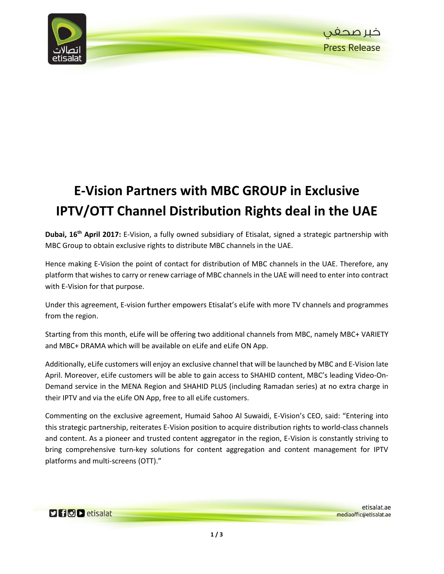

## **E-Vision Partners with MBC GROUP in Exclusive IPTV/OTT Channel Distribution Rights deal in the UAE**

**Dubai, 16th April 2017:** E-Vision, a fully owned subsidiary of Etisalat, signed a strategic partnership with MBC Group to obtain exclusive rights to distribute MBC channels in the UAE.

Hence making E-Vision the point of contact for distribution of MBC channels in the UAE. Therefore, any platform that wishes to carry or renew carriage of MBC channels in the UAE will need to enter into contract with E-Vision for that purpose.

Under this agreement, E-vision further empowers Etisalat's eLife with more TV channels and programmes from the region.

Starting from this month, eLife will be offering two additional channels from MBC, namely MBC+ VARIETY and MBC+ DRAMA which will be available on eLife and eLife ON App.

Additionally, eLife customers will enjoy an exclusive channel that will be launched by MBC and E-Vision late April. Moreover, eLife customers will be able to gain access to SHAHID content, MBC's leading Video-On-Demand service in the MENA Region and SHAHID PLUS (including Ramadan series) at no extra charge in their IPTV and via the eLife ON App, free to all eLife customers.

Commenting on the exclusive agreement, Humaid Sahoo Al Suwaidi, E-Vision's CEO, said: "Entering into this strategic partnership, reiterates E-Vision position to acquire distribution rights to world-class channels and content. As a pioneer and trusted content aggregator in the region, E-Vision is constantly striving to bring comprehensive turn-key solutions for content aggregation and content management for IPTV platforms and multi-screens (OTT)."

**Dificio del etisalat**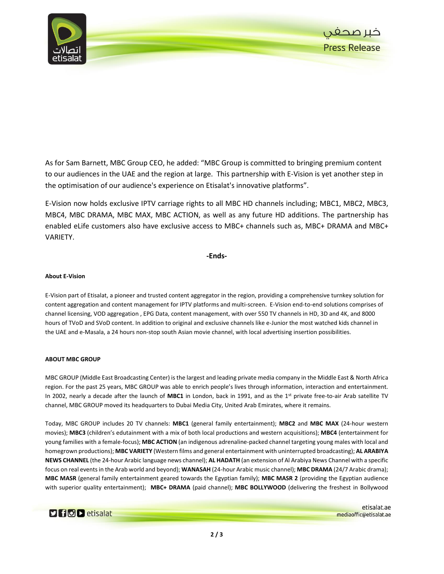

As for Sam Barnett, MBC Group CEO, he added: "MBC Group is committed to bringing premium content to our audiences in the UAE and the region at large. This partnership with E-Vision is yet another step in the optimisation of our audience's experience on Etisalat's innovative platforms".

E-Vision now holds exclusive IPTV carriage rights to all MBC HD channels including; MBC1, MBC2, MBC3, MBC4, MBC DRAMA, MBC MAX, MBC ACTION, as well as any future HD additions. The partnership has enabled eLife customers also have exclusive access to MBC+ channels such as, MBC+ DRAMA and MBC+ VARIETY.

**-Ends-**

## **About E-Vision**

E-Vision part of Etisalat, a pioneer and trusted content aggregator in the region, providing a comprehensive turnkey solution for content aggregation and content management for IPTV platforms and multi-screen. E-Vision end-to-end solutions comprises of channel licensing, VOD aggregation , EPG Data, content management, with over 550 TV channels in HD, 3D and 4K, and 8000 hours of TVoD and SVoD content. In addition to original and exclusive channels like e-Junior the most watched kids channel in the UAE and e-Masala, a 24 hours non-stop south Asian movie channel, with local advertising insertion possibilities.

## **ABOUT MBC GROUP**

MBC GROUP (Middle East Broadcasting Center) is the largest and leading private media company in the Middle East & North Africa region. For the past 25 years, MBC GROUP was able to enrich people's lives through information, interaction and entertainment. In 2002, nearly a decade after the launch of **MBC1** in London, back in 1991, and as the 1st private free-to-air Arab satellite TV channel, MBC GROUP moved its headquarters to Dubai Media City, United Arab Emirates, where it remains.

Today, MBC GROUP includes 20 TV channels: **MBC1** (general family entertainment); **MBC2** and **MBC MAX** (24-hour western movies); **MBC3** (children's edutainment with a mix of both local productions and western acquisitions); **MBC4** (entertainment for young families with a female-focus); **MBC ACTION** (an indigenous adrenaline-packed channel targeting young males with local and homegrown productions); **MBC VARIETY** (Western films and general entertainment with uninterrupted broadcasting); **AL ARABIYA NEWS CHANNEL** (the 24-hour Arabic language news channel); **AL HADATH** (an extension of Al Arabiya News Channel with a specific focus on real events in the Arab world and beyond); **WANASAH** (24-hour Arabic music channel); **MBC DRAMA** (24/7 Arabic drama); **MBC MASR** (general family entertainment geared towards the Egyptian family); **MBC MASR 2** (providing the Egyptian audience with superior quality entertainment); **MBC+ DRAMA** (paid channel); **MBC BOLLYWOOD** (delivering the freshest in Bollywood

 $\triangleright$  for  $\triangleright$  etisalat

etisalat.ae mediaoffic@etisalat.ae